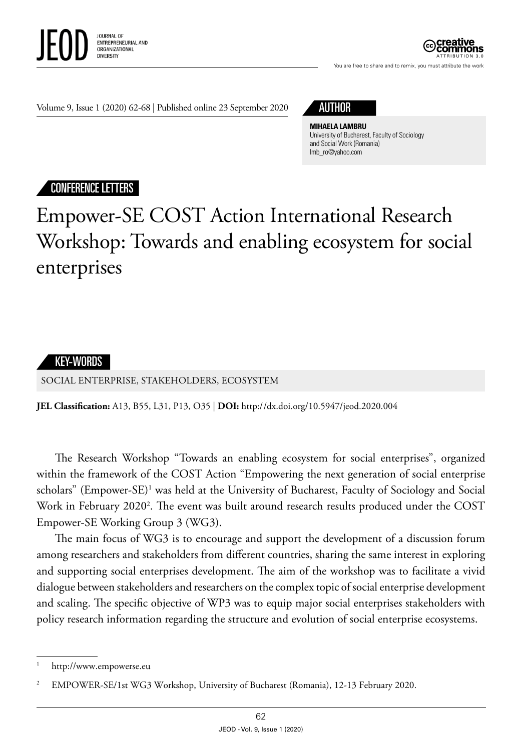

ATTRIBUTION 3.0

You are free to share and to remix, you must attribute the work

Volume 9, Issue 1 (2020) 62-68 | Published online 23 September 2020 AUTHOR



## **MIHAELA LAMBRU**

University of Bucharest, Faculty of Sociology and Social Work (Romania) lmb\_ro@yahoo.com

## CONFERENCE LETTERS

## Empower-SE COST Action International Research Workshop: Towards and enabling ecosystem for social enterprises



SOCIAL ENTERPRISE, STAKEHOLDERS, ECOSYSTEM

**JEL Classification:** A13, B55, L31, P13, O35 | **DOI:** http:/ /dx.doi.org/10.5947/jeod.2020.004

The Research Workshop "Towards an enabling ecosystem for social enterprises", organized within the framework of the COST Action "Empowering the next generation of social enterprise scholars" (Empower-SE)<sup>1</sup> was held at the University of Bucharest, Faculty of Sociology and Social Work in February 2020<sup>2</sup>. The event was built around research results produced under the COST Empower-SE Working Group 3 (WG3).

The main focus of WG3 is to encourage and support the development of a discussion forum among researchers and stakeholders from different countries, sharing the same interest in exploring and supporting social enterprises development. The aim of the workshop was to facilitate a vivid dialogue between stakeholders and researchers on the complex topic of social enterprise development and scaling. The specific objective of WP3 was to equip major social enterprises stakeholders with policy research information regarding the structure and evolution of social enterprise ecosystems.

http://www.empowerse.eu

<sup>2</sup> EMPOWER-SE/1st WG3 Workshop, University of Bucharest (Romania), 12-13 February 2020.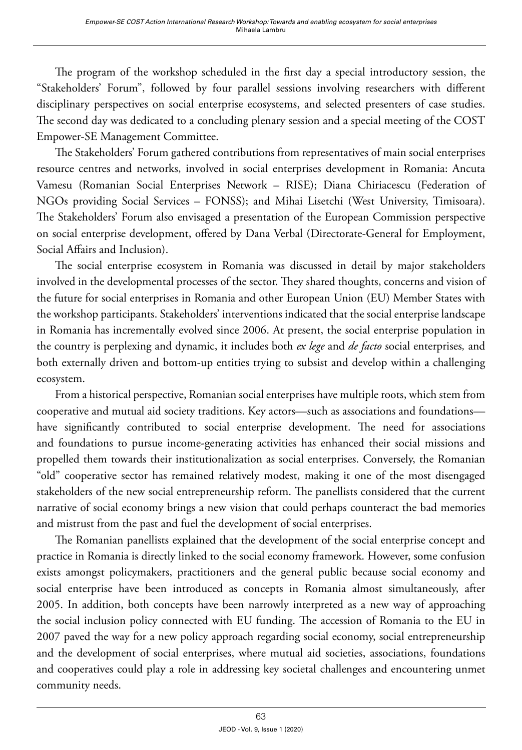The program of the workshop scheduled in the first day a special introductory session, the "Stakeholders' Forum", followed by four parallel sessions involving researchers with different disciplinary perspectives on social enterprise ecosystems, and selected presenters of case studies. The second day was dedicated to a concluding plenary session and a special meeting of the COST Empower-SE Management Committee.

The Stakeholders' Forum gathered contributions from representatives of main social enterprises resource centres and networks, involved in social enterprises development in Romania: Ancuta Vamesu (Romanian Social Enterprises Network – RISE); Diana Chiriacescu (Federation of NGOs providing Social Services – FONSS); and Mihai Lisetchi (West University, Timisoara). The Stakeholders' Forum also envisaged a presentation of the European Commission perspective on social enterprise development, offered by Dana Verbal (Directorate-General for Employment, Social Affairs and Inclusion).

The social enterprise ecosystem in Romania was discussed in detail by major stakeholders involved in the developmental processes of the sector. They shared thoughts, concerns and vision of the future for social enterprises in Romania and other European Union (EU) Member States with the workshop participants. Stakeholders' interventions indicated that the social enterprise landscape in Romania has incrementally evolved since 2006. At present, the social enterprise population in the country is perplexing and dynamic, it includes both *ex lege* and *de facto* social enterprises*,* and both externally driven and bottom-up entities trying to subsist and develop within a challenging ecosystem.

From a historical perspective, Romanian social enterprises have multiple roots, which stem from cooperative and mutual aid society traditions. Key actors—such as associations and foundations have significantly contributed to social enterprise development. The need for associations and foundations to pursue income-generating activities has enhanced their social missions and propelled them towards their institutionalization as social enterprises. Conversely, the Romanian "old" cooperative sector has remained relatively modest, making it one of the most disengaged stakeholders of the new social entrepreneurship reform. The panellists considered that the current narrative of social economy brings a new vision that could perhaps counteract the bad memories and mistrust from the past and fuel the development of social enterprises.

The Romanian panellists explained that the development of the social enterprise concept and practice in Romania is directly linked to the social economy framework. However, some confusion exists amongst policymakers, practitioners and the general public because social economy and social enterprise have been introduced as concepts in Romania almost simultaneously, after 2005. In addition, both concepts have been narrowly interpreted as a new way of approaching the social inclusion policy connected with EU funding. The accession of Romania to the EU in 2007 paved the way for a new policy approach regarding social economy, social entrepreneurship and the development of social enterprises, where mutual aid societies, associations, foundations and cooperatives could play a role in addressing key societal challenges and encountering unmet community needs.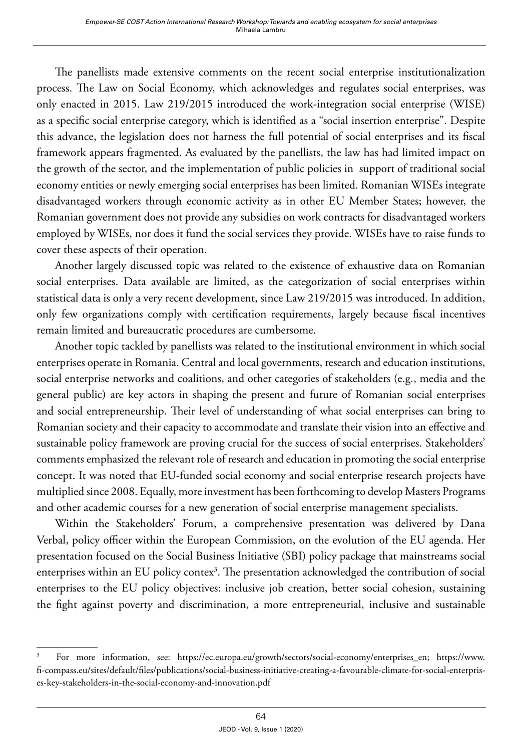The panellists made extensive comments on the recent social enterprise institutionalization process. The Law on Social Economy, which acknowledges and regulates social enterprises, was only enacted in 2015. Law 219/2015 introduced the work-integration social enterprise (WISE) as a specific social enterprise category, which is identified as a "social insertion enterprise". Despite this advance, the legislation does not harness the full potential of social enterprises and its fiscal framework appears fragmented. As evaluated by the panellists, the law has had limited impact on the growth of the sector, and the implementation of public policies in support of traditional social economy entities or newly emerging social enterprises has been limited. Romanian WISEs integrate disadvantaged workers through economic activity as in other EU Member States; however, the Romanian government does not provide any subsidies on work contracts for disadvantaged workers employed by WISEs, nor does it fund the social services they provide. WISEs have to raise funds to cover these aspects of their operation.

Another largely discussed topic was related to the existence of exhaustive data on Romanian social enterprises. Data available are limited, as the categorization of social enterprises within statistical data is only a very recent development, since Law 219/2015 was introduced. In addition, only few organizations comply with certification requirements, largely because fiscal incentives remain limited and bureaucratic procedures are cumbersome.

Another topic tackled by panellists was related to the institutional environment in which social enterprises operate in Romania. Central and local governments, research and education institutions, social enterprise networks and coalitions, and other categories of stakeholders (e.g., media and the general public) are key actors in shaping the present and future of Romanian social enterprises and social entrepreneurship. Their level of understanding of what social enterprises can bring to Romanian society and their capacity to accommodate and translate their vision into an effective and sustainable policy framework are proving crucial for the success of social enterprises. Stakeholders' comments emphasized the relevant role of research and education in promoting the social enterprise concept. It was noted that EU-funded social economy and social enterprise research projects have multiplied since 2008. Equally, more investment has been forthcoming to develop Masters Programs and other academic courses for a new generation of social enterprise management specialists.

Within the Stakeholders' Forum, a comprehensive presentation was delivered by Dana Verbal, policy officer within the European Commission, on the evolution of the EU agenda. Her presentation focused on the Social Business Initiative (SBI) policy package that mainstreams social enterprises within an EU policy contex<sup>3</sup>. The presentation acknowledged the contribution of social enterprises to the EU policy objectives: inclusive job creation, better social cohesion, sustaining the fight against poverty and discrimination, a more entrepreneurial, inclusive and sustainable

<sup>3</sup> For more information, see: [https://ec.europa.eu/growth/sectors/social-economy/enterprises\\_en;](https://ec.europa.eu/growth/sectors/social-economy/enterprises_en) [https://www.](https://www.fi-compass.eu/sites/default/files/publications/social-business-initiative-creating-a-favourable-climate-for-social-enterprises-key-stakeholders-in-the-social-economy-and-innovation.pdf) [fi-compass.eu/sites/default/files/publications/social-business-initiative-creating-a-favourable-climate-for-social-enterpris](https://www.fi-compass.eu/sites/default/files/publications/social-business-initiative-creating-a-favourable-climate-for-social-enterprises-key-stakeholders-in-the-social-economy-and-innovation.pdf)[es-key-stakeholders-in-the-social-economy-and-innovation.pdf](https://www.fi-compass.eu/sites/default/files/publications/social-business-initiative-creating-a-favourable-climate-for-social-enterprises-key-stakeholders-in-the-social-economy-and-innovation.pdf)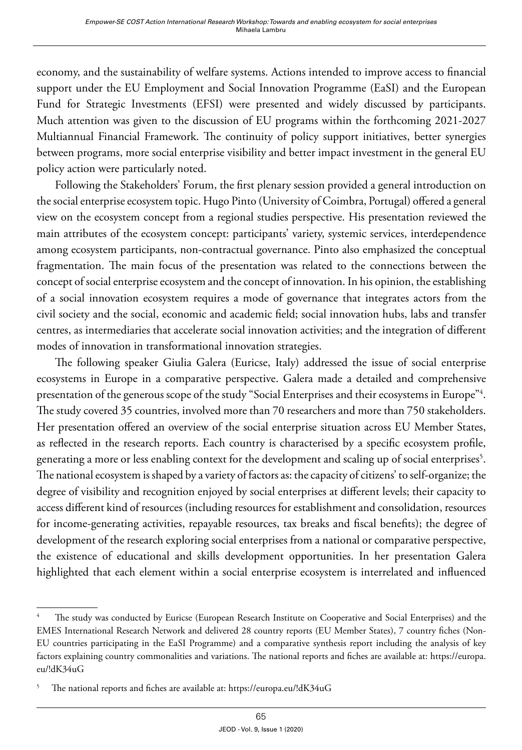economy, and the sustainability of welfare systems. Actions intended to improve access to financial support under the EU Employment and Social Innovation Programme (EaSI) and the European Fund for Strategic Investments (EFSI) were presented and widely discussed by participants. Much attention was given to the discussion of EU programs within the forthcoming 2021-2027 Multiannual Financial Framework. The continuity of policy support initiatives, better synergies between programs, more social enterprise visibility and better impact investment in the general EU policy action were particularly noted.

Following the Stakeholders' Forum, the first plenary session provided a general introduction on the social enterprise ecosystem topic. Hugo Pinto (University of Coimbra, Portugal) offered a general view on the ecosystem concept from a regional studies perspective. His presentation reviewed the main attributes of the ecosystem concept: participants' variety, systemic services, interdependence among ecosystem participants, non-contractual governance. Pinto also emphasized the conceptual fragmentation. The main focus of the presentation was related to the connections between the concept of social enterprise ecosystem and the concept of innovation. In his opinion, the establishing of a social innovation ecosystem requires a mode of governance that integrates actors from the civil society and the social, economic and academic field; social innovation hubs, labs and transfer centres, as intermediaries that accelerate social innovation activities; and the integration of different modes of innovation in transformational innovation strategies.

The following speaker Giulia Galera (Euricse, Italy) addressed the issue of social enterprise ecosystems in Europe in a comparative perspective. Galera made a detailed and comprehensive presentation of the generous scope of the study "Social Enterprises and their ecosystems in Europe"4 . The study covered 35 countries, involved more than 70 researchers and more than 750 stakeholders. Her presentation offered an overview of the social enterprise situation across EU Member States, as reflected in the research reports. Each country is characterised by a specific ecosystem profile, generating a more or less enabling context for the development and scaling up of social enterprises $^5\cdot$ The national ecosystem is shaped by a variety of factors as: the capacity of citizens' to self-organize; the degree of visibility and recognition enjoyed by social enterprises at different levels; their capacity to access different kind of resources (including resources for establishment and consolidation, resources for income-generating activities, repayable resources, tax breaks and fiscal benefits); the degree of development of the research exploring social enterprises from a national or comparative perspective, the existence of educational and skills development opportunities. In her presentation Galera highlighted that each element within a social enterprise ecosystem is interrelated and influenced

<sup>4</sup> The study was conducted by Euricse (European Research Institute on Cooperative and Social Enterprises) and the EMES International Research Network and delivered 28 country reports (EU Member States), 7 country fiches (Non-EU countries participating in the EaSI Programme) and a comparative synthesis report including the analysis of key factors explaining country commonalities and variations. The national reports and fiches are available at: [https://europa.](https://europa.eu/!dK34uG) [eu/!dK34uG](https://europa.eu/!dK34uG)

<sup>5</sup> The national reports and fiches are available at:<https://europa.eu/!dK34uG>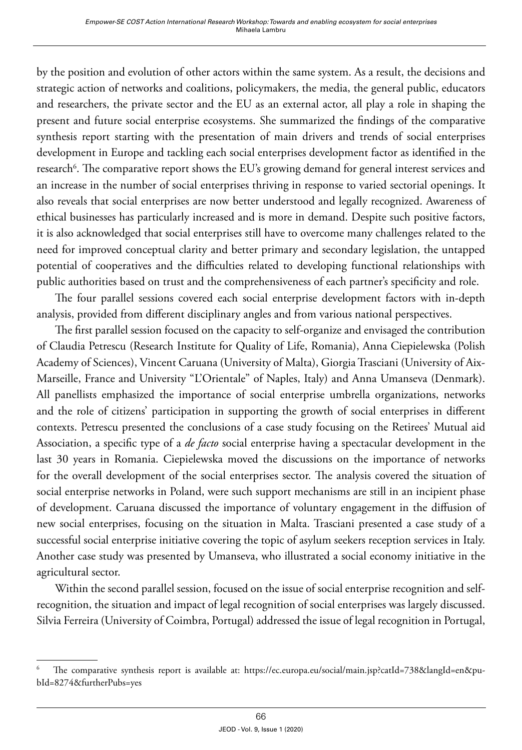by the position and evolution of other actors within the same system. As a result, the decisions and strategic action of networks and coalitions, policymakers, the media, the general public, educators and researchers, the private sector and the EU as an external actor, all play a role in shaping the present and future social enterprise ecosystems. She summarized the findings of the comparative synthesis report starting with the presentation of main drivers and trends of social enterprises development in Europe and tackling each social enterprises development factor as identified in the research<sup>6</sup>. The comparative report shows the EU's growing demand for general interest services and an increase in the number of social enterprises thriving in response to varied sectorial openings. It also reveals that social enterprises are now better understood and legally recognized. Awareness of ethical businesses has particularly increased and is more in demand. Despite such positive factors, it is also acknowledged that social enterprises still have to overcome many challenges related to the need for improved conceptual clarity and better primary and secondary legislation, the untapped potential of cooperatives and the difficulties related to developing functional relationships with public authorities based on trust and the comprehensiveness of each partner's specificity and role.

The four parallel sessions covered each social enterprise development factors with in-depth analysis, provided from different disciplinary angles and from various national perspectives.

The first parallel session focused on the capacity to self-organize and envisaged the contribution of Claudia Petrescu (Research Institute for Quality of Life, Romania), Anna Ciepielewska (Polish Academy of Sciences), Vincent Caruana (University of Malta), Giorgia Trasciani (University of Aix-Marseille, France and University "L'Orientale" of Naples, Italy) and Anna Umanseva (Denmark). All panellists emphasized the importance of social enterprise umbrella organizations, networks and the role of citizens' participation in supporting the growth of social enterprises in different contexts. Petrescu presented the conclusions of a case study focusing on the Retirees' Mutual aid Association, a specific type of a *de facto* social enterprise having a spectacular development in the last 30 years in Romania. Ciepielewska moved the discussions on the importance of networks for the overall development of the social enterprises sector. The analysis covered the situation of social enterprise networks in Poland, were such support mechanisms are still in an incipient phase of development. Caruana discussed the importance of voluntary engagement in the diffusion of new social enterprises, focusing on the situation in Malta. Trasciani presented a case study of a successful social enterprise initiative covering the topic of asylum seekers reception services in Italy. Another case study was presented by Umanseva, who illustrated a social economy initiative in the agricultural sector.

Within the second parallel session, focused on the issue of social enterprise recognition and selfrecognition, the situation and impact of legal recognition of social enterprises was largely discussed. Silvia Ferreira (University of Coimbra, Portugal) addressed the issue of legal recognition in Portugal,

<sup>6</sup> The comparative synthesis report is available at: [https://ec.europa.eu/social/main.jsp?catId=738&langId=en&pu](https://ec.europa.eu/social/main.jsp?catId=738&langId=en&pubId=8274&furtherPubs=yes)[bId=8274&furtherPubs=yes](https://ec.europa.eu/social/main.jsp?catId=738&langId=en&pubId=8274&furtherPubs=yes)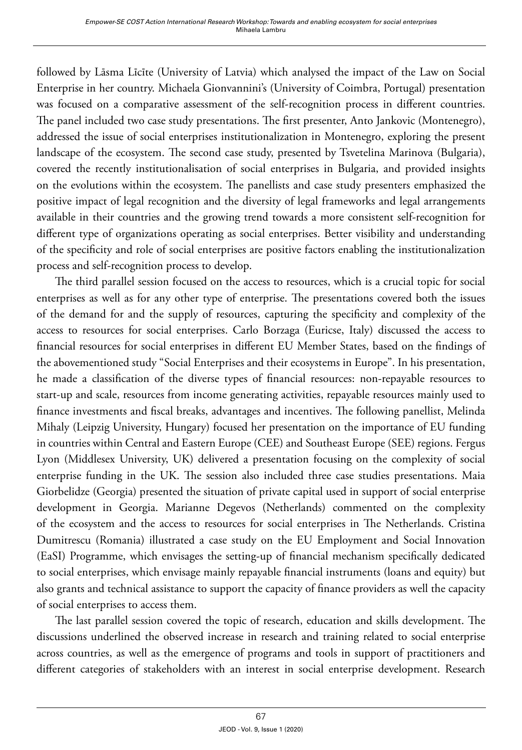followed by Lāsma Līcīte (University of Latvia) which analysed the impact of the Law on Social Enterprise in her country. Michaela Gionvannini's (University of Coimbra, Portugal) presentation was focused on a comparative assessment of the self-recognition process in different countries. The panel included two case study presentations. The first presenter, Anto Jankovic (Montenegro), addressed the issue of social enterprises institutionalization in Montenegro, exploring the present landscape of the ecosystem. The second case study, presented by Tsvetelina Marinova (Bulgaria), covered the recently institutionalisation of social enterprises in Bulgaria, and provided insights on the evolutions within the ecosystem. The panellists and case study presenters emphasized the positive impact of legal recognition and the diversity of legal frameworks and legal arrangements available in their countries and the growing trend towards a more consistent self-recognition for different type of organizations operating as social enterprises. Better visibility and understanding of the specificity and role of social enterprises are positive factors enabling the institutionalization process and self-recognition process to develop.

The third parallel session focused on the access to resources, which is a crucial topic for social enterprises as well as for any other type of enterprise. The presentations covered both the issues of the demand for and the supply of resources, capturing the specificity and complexity of the access to resources for social enterprises. Carlo Borzaga (Euricse, Italy) discussed the access to financial resources for social enterprises in different EU Member States, based on the findings of the abovementioned study "Social Enterprises and their ecosystems in Europe". In his presentation, he made a classification of the diverse types of financial resources: non-repayable resources to start-up and scale, resources from income generating activities, repayable resources mainly used to finance investments and fiscal breaks, advantages and incentives. The following panellist, Melinda Mihaly (Leipzig University, Hungary) focused her presentation on the importance of EU funding in countries within Central and Eastern Europe (CEE) and Southeast Europe (SEE) regions. Fergus Lyon (Middlesex University, UK) delivered a presentation focusing on the complexity of social enterprise funding in the UK. The session also included three case studies presentations. Maia Giorbelidze (Georgia) presented the situation of private capital used in support of social enterprise development in Georgia. Marianne Degevos (Netherlands) commented on the complexity of the ecosystem and the access to resources for social enterprises in The Netherlands. Cristina Dumitrescu (Romania) illustrated a case study on the EU Employment and Social Innovation (EaSI) Programme, which envisages the setting-up of financial mechanism specifically dedicated to social enterprises, which envisage mainly repayable financial instruments (loans and equity) but also grants and technical assistance to support the capacity of finance providers as well the capacity of social enterprises to access them.

The last parallel session covered the topic of research, education and skills development. The discussions underlined the observed increase in research and training related to social enterprise across countries, as well as the emergence of programs and tools in support of practitioners and different categories of stakeholders with an interest in social enterprise development. Research